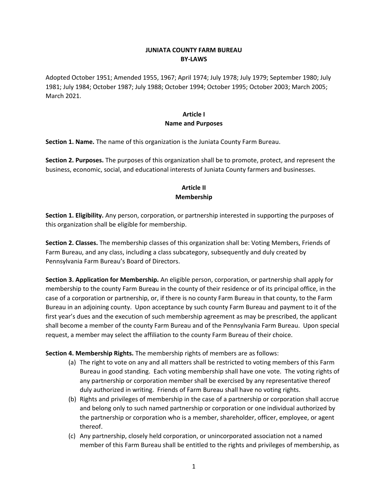#### **JUNIATA COUNTY FARM BUREAU BY-LAWS**

Adopted October 1951; Amended 1955, 1967; April 1974; July 1978; July 1979; September 1980; July 1981; July 1984; October 1987; July 1988; October 1994; October 1995; October 2003; March 2005; March 2021.

#### **Article I Name and Purposes**

**Section 1. Name.** The name of this organization is the Juniata County Farm Bureau.

**Section 2. Purposes.** The purposes of this organization shall be to promote, protect, and represent the business, economic, social, and educational interests of Juniata County farmers and businesses.

#### **Article II Membership**

**Section 1. Eligibility.** Any person, corporation, or partnership interested in supporting the purposes of this organization shall be eligible for membership.

**Section 2. Classes.** The membership classes of this organization shall be: Voting Members, Friends of Farm Bureau, and any class, including a class subcategory, subsequently and duly created by Pennsylvania Farm Bureau's Board of Directors.

**Section 3. Application for Membership.** An eligible person, corporation, or partnership shall apply for membership to the county Farm Bureau in the county of their residence or of its principal office, in the case of a corporation or partnership, or, if there is no county Farm Bureau in that county, to the Farm Bureau in an adjoining county. Upon acceptance by such county Farm Bureau and payment to it of the first year's dues and the execution of such membership agreement as may be prescribed, the applicant shall become a member of the county Farm Bureau and of the Pennsylvania Farm Bureau. Upon special request, a member may select the affiliation to the county Farm Bureau of their choice.

**Section 4. Membership Rights.** The membership rights of members are as follows:

- (a) The right to vote on any and all matters shall be restricted to voting members of this Farm Bureau in good standing. Each voting membership shall have one vote. The voting rights of any partnership or corporation member shall be exercised by any representative thereof duly authorized in writing. Friends of Farm Bureau shall have no voting rights.
- (b) Rights and privileges of membership in the case of a partnership or corporation shall accrue and belong only to such named partnership or corporation or one individual authorized by the partnership or corporation who is a member, shareholder, officer, employee, or agent thereof.
- (c) Any partnership, closely held corporation, or unincorporated association not a named member of this Farm Bureau shall be entitled to the rights and privileges of membership, as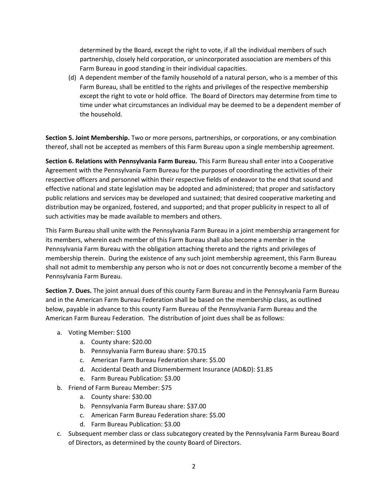determined by the Board, except the right to vote, if all the individual members of such partnership, closely held corporation, or unincorporated association are members of this Farm Bureau in good standing in their individual capacities.

(d) A dependent member of the family household of a natural person, who is a member of this Farm Bureau, shall be entitled to the rights and privileges of the respective membership except the right to vote or hold office. The Board of Directors may determine from time to time under what circumstances an individual may be deemed to be a dependent member of the household.

**Section 5. Joint Membership.** Two or more persons, partnerships, or corporations, or any combination thereof, shall not be accepted as members of this Farm Bureau upon a single membership agreement.

**Section 6. Relations with Pennsylvania Farm Bureau.** This Farm Bureau shall enter into a Cooperative Agreement with the Pennsylvania Farm Bureau for the purposes of coordinating the activities of their respective officers and personnel within their respective fields of endeavor to the end that sound and effective national and state legislation may be adopted and administered; that proper and satisfactory public relations and services may be developed and sustained; that desired cooperative marketing and distribution may be organized, fostered, and supported; and that proper publicity in respect to all of such activities may be made available to members and others.

This Farm Bureau shall unite with the Pennsylvania Farm Bureau in a joint membership arrangement for its members, wherein each member of this Farm Bureau shall also become a member in the Pennsylvania Farm Bureau with the obligation attaching thereto and the rights and privileges of membership therein. During the existence of any such joint membership agreement, this Farm Bureau shall not admit to membership any person who is not or does not concurrently become a member of the Pennsylvania Farm Bureau.

**Section 7. Dues.** The joint annual dues of this county Farm Bureau and in the Pennsylvania Farm Bureau and in the American Farm Bureau Federation shall be based on the membership class, as outlined below, payable in advance to this county Farm Bureau of the Pennsylvania Farm Bureau and the American Farm Bureau Federation. The distribution of joint dues shall be as follows:

- a. Voting Member: \$100
	- a. County share: \$20.00
	- b. Pennsylvania Farm Bureau share: \$70.15
	- c. American Farm Bureau Federation share: \$5.00
	- d. Accidental Death and Dismemberment Insurance (AD&D): \$1.85
	- e. Farm Bureau Publication: \$3.00
- b. Friend of Farm Bureau Member: \$75
	- a. County share: \$30.00
	- b. Pennsylvania Farm Bureau share: \$37.00
	- c. American Farm Bureau Federation share: \$5.00
	- d. Farm Bureau Publication: \$3.00
- c. Subsequent member class or class subcategory created by the Pennsylvania Farm Bureau Board of Directors, as determined by the county Board of Directors.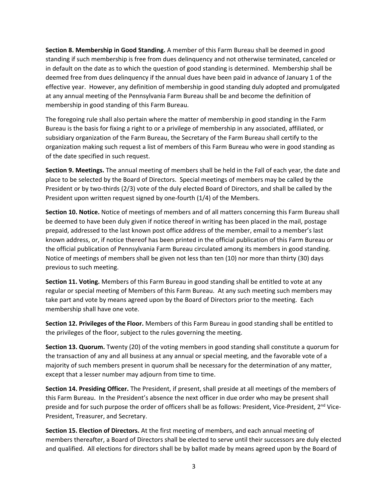**Section 8. Membership in Good Standing.** A member of this Farm Bureau shall be deemed in good standing if such membership is free from dues delinquency and not otherwise terminated, canceled or in default on the date as to which the question of good standing is determined. Membership shall be deemed free from dues delinquency if the annual dues have been paid in advance of January 1 of the effective year. However, any definition of membership in good standing duly adopted and promulgated at any annual meeting of the Pennsylvania Farm Bureau shall be and become the definition of membership in good standing of this Farm Bureau.

The foregoing rule shall also pertain where the matter of membership in good standing in the Farm Bureau is the basis for fixing a right to or a privilege of membership in any associated, affiliated, or subsidiary organization of the Farm Bureau, the Secretary of the Farm Bureau shall certify to the organization making such request a list of members of this Farm Bureau who were in good standing as of the date specified in such request.

**Section 9. Meetings.** The annual meeting of members shall be held in the Fall of each year, the date and place to be selected by the Board of Directors. Special meetings of members may be called by the President or by two-thirds (2/3) vote of the duly elected Board of Directors, and shall be called by the President upon written request signed by one-fourth (1/4) of the Members.

**Section 10. Notice.** Notice of meetings of members and of all matters concerning this Farm Bureau shall be deemed to have been duly given if notice thereof in writing has been placed in the mail, postage prepaid, addressed to the last known post office address of the member, email to a member's last known address, or, if notice thereof has been printed in the official publication of this Farm Bureau or the official publication of Pennsylvania Farm Bureau circulated among its members in good standing. Notice of meetings of members shall be given not less than ten (10) nor more than thirty (30) days previous to such meeting.

**Section 11. Voting.** Members of this Farm Bureau in good standing shall be entitled to vote at any regular or special meeting of Members of this Farm Bureau. At any such meeting such members may take part and vote by means agreed upon by the Board of Directors prior to the meeting. Each membership shall have one vote.

**Section 12. Privileges of the Floor.** Members of this Farm Bureau in good standing shall be entitled to the privileges of the floor, subject to the rules governing the meeting.

**Section 13. Quorum.** Twenty (20) of the voting members in good standing shall constitute a quorum for the transaction of any and all business at any annual or special meeting, and the favorable vote of a majority of such members present in quorum shall be necessary for the determination of any matter, except that a lesser number may adjourn from time to time.

**Section 14. Presiding Officer.** The President, if present, shall preside at all meetings of the members of this Farm Bureau. In the President's absence the next officer in due order who may be present shall preside and for such purpose the order of officers shall be as follows: President, Vice-President, 2<sup>nd</sup> Vice-President, Treasurer, and Secretary.

**Section 15. Election of Directors.** At the first meeting of members, and each annual meeting of members thereafter, a Board of Directors shall be elected to serve until their successors are duly elected and qualified. All elections for directors shall be by ballot made by means agreed upon by the Board of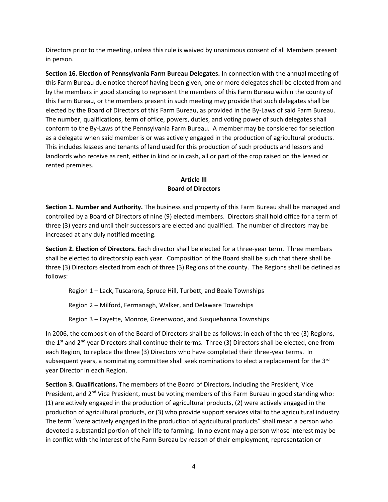Directors prior to the meeting, unless this rule is waived by unanimous consent of all Members present in person.

**Section 16. Election of Pennsylvania Farm Bureau Delegates.** In connection with the annual meeting of this Farm Bureau due notice thereof having been given, one or more delegates shall be elected from and by the members in good standing to represent the members of this Farm Bureau within the county of this Farm Bureau, or the members present in such meeting may provide that such delegates shall be elected by the Board of Directors of this Farm Bureau, as provided in the By-Laws of said Farm Bureau. The number, qualifications, term of office, powers, duties, and voting power of such delegates shall conform to the By-Laws of the Pennsylvania Farm Bureau. A member may be considered for selection as a delegate when said member is or was actively engaged in the production of agricultural products. This includes lessees and tenants of land used for this production of such products and lessors and landlords who receive as rent, either in kind or in cash, all or part of the crop raised on the leased or rented premises.

#### **Article III Board of Directors**

**Section 1. Number and Authority.** The business and property of this Farm Bureau shall be managed and controlled by a Board of Directors of nine (9) elected members. Directors shall hold office for a term of three (3) years and until their successors are elected and qualified. The number of directors may be increased at any duly notified meeting.

**Section 2. Election of Directors.** Each director shall be elected for a three-year term. Three members shall be elected to directorship each year. Composition of the Board shall be such that there shall be three (3) Directors elected from each of three (3) Regions of the county. The Regions shall be defined as follows:

Region 1 – Lack, Tuscarora, Spruce Hill, Turbett, and Beale Townships

Region 2 – Milford, Fermanagh, Walker, and Delaware Townships

Region 3 – Fayette, Monroe, Greenwood, and Susquehanna Townships

In 2006, the composition of the Board of Directors shall be as follows: in each of the three (3) Regions, the 1<sup>st</sup> and 2<sup>nd</sup> year Directors shall continue their terms. Three (3) Directors shall be elected, one from each Region, to replace the three (3) Directors who have completed their three-year terms. In subsequent years, a nominating committee shall seek nominations to elect a replacement for the  $3<sup>rd</sup>$ year Director in each Region.

**Section 3. Qualifications.** The members of the Board of Directors, including the President, Vice President, and 2<sup>nd</sup> Vice President, must be voting members of this Farm Bureau in good standing who: (1) are actively engaged in the production of agricultural products, (2) were actively engaged in the production of agricultural products, or (3) who provide support services vital to the agricultural industry. The term "were actively engaged in the production of agricultural products" shall mean a person who devoted a substantial portion of their life to farming. In no event may a person whose interest may be in conflict with the interest of the Farm Bureau by reason of their employment, representation or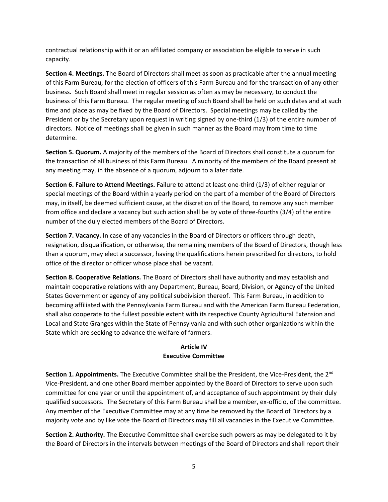contractual relationship with it or an affiliated company or association be eligible to serve in such capacity.

**Section 4. Meetings.** The Board of Directors shall meet as soon as practicable after the annual meeting of this Farm Bureau, for the election of officers of this Farm Bureau and for the transaction of any other business. Such Board shall meet in regular session as often as may be necessary, to conduct the business of this Farm Bureau. The regular meeting of such Board shall be held on such dates and at such time and place as may be fixed by the Board of Directors. Special meetings may be called by the President or by the Secretary upon request in writing signed by one-third (1/3) of the entire number of directors. Notice of meetings shall be given in such manner as the Board may from time to time determine.

**Section 5. Quorum.** A majority of the members of the Board of Directors shall constitute a quorum for the transaction of all business of this Farm Bureau. A minority of the members of the Board present at any meeting may, in the absence of a quorum, adjourn to a later date.

**Section 6. Failure to Attend Meetings.** Failure to attend at least one-third (1/3) of either regular or special meetings of the Board within a yearly period on the part of a member of the Board of Directors may, in itself, be deemed sufficient cause, at the discretion of the Board, to remove any such member from office and declare a vacancy but such action shall be by vote of three-fourths (3/4) of the entire number of the duly elected members of the Board of Directors.

**Section 7. Vacancy.** In case of any vacancies in the Board of Directors or officers through death, resignation, disqualification, or otherwise, the remaining members of the Board of Directors, though less than a quorum, may elect a successor, having the qualifications herein prescribed for directors, to hold office of the director or officer whose place shall be vacant.

**Section 8. Cooperative Relations.** The Board of Directors shall have authority and may establish and maintain cooperative relations with any Department, Bureau, Board, Division, or Agency of the United States Government or agency of any political subdivision thereof. This Farm Bureau, in addition to becoming affiliated with the Pennsylvania Farm Bureau and with the American Farm Bureau Federation, shall also cooperate to the fullest possible extent with its respective County Agricultural Extension and Local and State Granges within the State of Pennsylvania and with such other organizations within the State which are seeking to advance the welfare of farmers.

#### **Article IV Executive Committee**

**Section 1. Appointments.** The Executive Committee shall be the President, the Vice-President, the 2<sup>nd</sup> Vice-President, and one other Board member appointed by the Board of Directors to serve upon such committee for one year or until the appointment of, and acceptance of such appointment by their duly qualified successors. The Secretary of this Farm Bureau shall be a member, ex-officio, of the committee. Any member of the Executive Committee may at any time be removed by the Board of Directors by a majority vote and by like vote the Board of Directors may fill all vacancies in the Executive Committee.

**Section 2. Authority.** The Executive Committee shall exercise such powers as may be delegated to it by the Board of Directors in the intervals between meetings of the Board of Directors and shall report their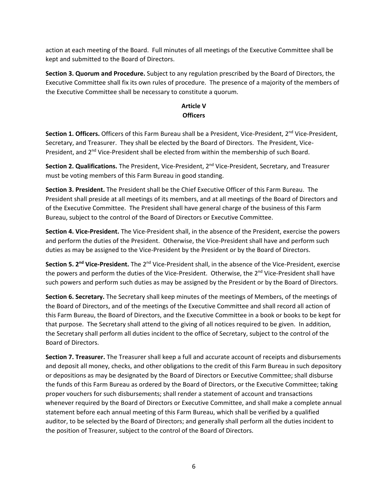action at each meeting of the Board. Full minutes of all meetings of the Executive Committee shall be kept and submitted to the Board of Directors.

**Section 3. Quorum and Procedure.** Subject to any regulation prescribed by the Board of Directors, the Executive Committee shall fix its own rules of procedure. The presence of a majority of the members of the Executive Committee shall be necessary to constitute a quorum.

## **Article V Officers**

**Section 1. Officers.** Officers of this Farm Bureau shall be a President, Vice-President, 2<sup>nd</sup> Vice-President, Secretary, and Treasurer. They shall be elected by the Board of Directors. The President, Vice-President, and 2<sup>nd</sup> Vice-President shall be elected from within the membership of such Board.

**Section 2. Qualifications.** The President, Vice-President, 2nd Vice-President, Secretary, and Treasurer must be voting members of this Farm Bureau in good standing.

**Section 3. President.** The President shall be the Chief Executive Officer of this Farm Bureau. The President shall preside at all meetings of its members, and at all meetings of the Board of Directors and of the Executive Committee. The President shall have general charge of the business of this Farm Bureau, subject to the control of the Board of Directors or Executive Committee.

**Section 4. Vice-President.** The Vice-President shall, in the absence of the President, exercise the powers and perform the duties of the President. Otherwise, the Vice-President shall have and perform such duties as may be assigned to the Vice-President by the President or by the Board of Directors.

**Section 5. 2nd Vice-President.** The 2nd Vice-President shall, in the absence of the Vice-President, exercise the powers and perform the duties of the Vice-President. Otherwise, the 2<sup>nd</sup> Vice-President shall have such powers and perform such duties as may be assigned by the President or by the Board of Directors.

**Section 6. Secretary.** The Secretary shall keep minutes of the meetings of Members, of the meetings of the Board of Directors, and of the meetings of the Executive Committee and shall record all action of this Farm Bureau, the Board of Directors, and the Executive Committee in a book or books to be kept for that purpose. The Secretary shall attend to the giving of all notices required to be given. In addition, the Secretary shall perform all duties incident to the office of Secretary, subject to the control of the Board of Directors.

**Section 7. Treasurer.** The Treasurer shall keep a full and accurate account of receipts and disbursements and deposit all money, checks, and other obligations to the credit of this Farm Bureau in such depository or depositions as may be designated by the Board of Directors or Executive Committee; shall disburse the funds of this Farm Bureau as ordered by the Board of Directors, or the Executive Committee; taking proper vouchers for such disbursements; shall render a statement of account and transactions whenever required by the Board of Directors or Executive Committee, and shall make a complete annual statement before each annual meeting of this Farm Bureau, which shall be verified by a qualified auditor, to be selected by the Board of Directors; and generally shall perform all the duties incident to the position of Treasurer, subject to the control of the Board of Directors.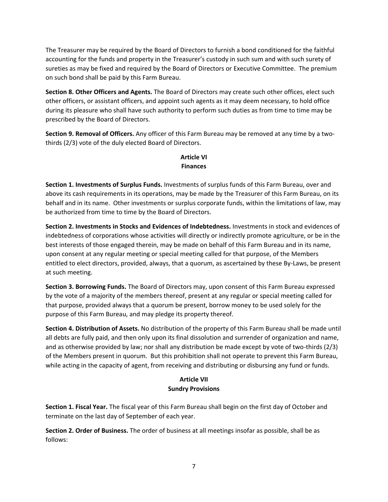The Treasurer may be required by the Board of Directors to furnish a bond conditioned for the faithful accounting for the funds and property in the Treasurer's custody in such sum and with such surety of sureties as may be fixed and required by the Board of Directors or Executive Committee. The premium on such bond shall be paid by this Farm Bureau.

**Section 8. Other Officers and Agents.** The Board of Directors may create such other offices, elect such other officers, or assistant officers, and appoint such agents as it may deem necessary, to hold office during its pleasure who shall have such authority to perform such duties as from time to time may be prescribed by the Board of Directors.

**Section 9. Removal of Officers.** Any officer of this Farm Bureau may be removed at any time by a twothirds (2/3) vote of the duly elected Board of Directors.

# **Article VI Finances**

**Section 1. Investments of Surplus Funds.** Investments of surplus funds of this Farm Bureau, over and above its cash requirements in its operations, may be made by the Treasurer of this Farm Bureau, on its behalf and in its name. Other investments or surplus corporate funds, within the limitations of law, may be authorized from time to time by the Board of Directors.

**Section 2. Investments in Stocks and Evidences of Indebtedness.** Investments in stock and evidences of indebtedness of corporations whose activities will directly or indirectly promote agriculture, or be in the best interests of those engaged therein, may be made on behalf of this Farm Bureau and in its name, upon consent at any regular meeting or special meeting called for that purpose, of the Members entitled to elect directors, provided, always, that a quorum, as ascertained by these By-Laws, be present at such meeting.

**Section 3. Borrowing Funds.** The Board of Directors may, upon consent of this Farm Bureau expressed by the vote of a majority of the members thereof, present at any regular or special meeting called for that purpose, provided always that a quorum be present, borrow money to be used solely for the purpose of this Farm Bureau, and may pledge its property thereof.

**Section 4. Distribution of Assets.** No distribution of the property of this Farm Bureau shall be made until all debts are fully paid, and then only upon its final dissolution and surrender of organization and name, and as otherwise provided by law; nor shall any distribution be made except by vote of two-thirds (2/3) of the Members present in quorum. But this prohibition shall not operate to prevent this Farm Bureau, while acting in the capacity of agent, from receiving and distributing or disbursing any fund or funds.

# **Article VII Sundry Provisions**

**Section 1. Fiscal Year.** The fiscal year of this Farm Bureau shall begin on the first day of October and terminate on the last day of September of each year.

**Section 2. Order of Business.** The order of business at all meetings insofar as possible, shall be as follows: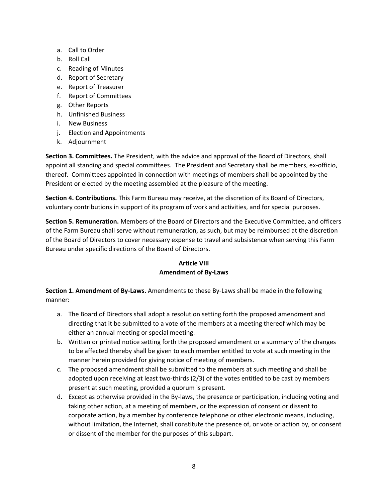- a. Call to Order
- b. Roll Call
- c. Reading of Minutes
- d. Report of Secretary
- e. Report of Treasurer
- f. Report of Committees
- g. Other Reports
- h. Unfinished Business
- i. New Business
- j. Election and Appointments
- k. Adjournment

**Section 3. Committees.** The President, with the advice and approval of the Board of Directors, shall appoint all standing and special committees. The President and Secretary shall be members, ex-officio, thereof. Committees appointed in connection with meetings of members shall be appointed by the President or elected by the meeting assembled at the pleasure of the meeting.

**Section 4. Contributions.** This Farm Bureau may receive, at the discretion of its Board of Directors, voluntary contributions in support of its program of work and activities, and for special purposes.

**Section 5. Remuneration.** Members of the Board of Directors and the Executive Committee, and officers of the Farm Bureau shall serve without remuneration, as such, but may be reimbursed at the discretion of the Board of Directors to cover necessary expense to travel and subsistence when serving this Farm Bureau under specific directions of the Board of Directors.

## **Article VIII Amendment of By-Laws**

**Section 1. Amendment of By-Laws.** Amendments to these By-Laws shall be made in the following manner:

- a. The Board of Directors shall adopt a resolution setting forth the proposed amendment and directing that it be submitted to a vote of the members at a meeting thereof which may be either an annual meeting or special meeting.
- b. Written or printed notice setting forth the proposed amendment or a summary of the changes to be affected thereby shall be given to each member entitled to vote at such meeting in the manner herein provided for giving notice of meeting of members.
- c. The proposed amendment shall be submitted to the members at such meeting and shall be adopted upon receiving at least two-thirds (2/3) of the votes entitled to be cast by members present at such meeting, provided a quorum is present.
- d. Except as otherwise provided in the By-laws, the presence or participation, including voting and taking other action, at a meeting of members, or the expression of consent or dissent to corporate action, by a member by conference telephone or other electronic means, including, without limitation, the Internet, shall constitute the presence of, or vote or action by, or consent or dissent of the member for the purposes of this subpart.